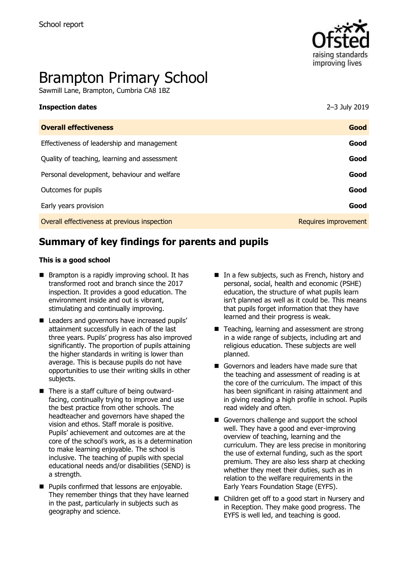

# Brampton Primary School

Sawmill Lane, Brampton, Cumbria CA8 1BZ

| <b>Overall effectiveness</b>                 | Good                 |
|----------------------------------------------|----------------------|
| Effectiveness of leadership and management   | Good                 |
| Quality of teaching, learning and assessment | Good                 |
| Personal development, behaviour and welfare  | Good                 |
| Outcomes for pupils                          | Good                 |
| Early years provision                        | Good                 |
| Overall effectiveness at previous inspection | Requires improvement |

**Inspection dates** 2–3 July 2019

# **Summary of key findings for parents and pupils**

#### **This is a good school**

- $\blacksquare$  Brampton is a rapidly improving school. It has transformed root and branch since the 2017 inspection. It provides a good education. The environment inside and out is vibrant, stimulating and continually improving.
- Leaders and governors have increased pupils' attainment successfully in each of the last three years. Pupils' progress has also improved significantly. The proportion of pupils attaining the higher standards in writing is lower than average. This is because pupils do not have opportunities to use their writing skills in other subjects.
- There is a staff culture of being outwardfacing, continually trying to improve and use the best practice from other schools. The headteacher and governors have shaped the vision and ethos. Staff morale is positive. Pupils' achievement and outcomes are at the core of the school's work, as is a determination to make learning enjoyable. The school is inclusive. The teaching of pupils with special educational needs and/or disabilities (SEND) is a strength.
- **Pupils confirmed that lessons are enjoyable.** They remember things that they have learned in the past, particularly in subjects such as geography and science.
- $\blacksquare$  In a few subjects, such as French, history and personal, social, health and economic (PSHE) education, the structure of what pupils learn isn't planned as well as it could be. This means that pupils forget information that they have learned and their progress is weak.
- Teaching, learning and assessment are strong in a wide range of subjects, including art and religious education. These subjects are well planned.
- Governors and leaders have made sure that the teaching and assessment of reading is at the core of the curriculum. The impact of this has been significant in raising attainment and in giving reading a high profile in school. Pupils read widely and often.
- Governors challenge and support the school well. They have a good and ever-improving overview of teaching, learning and the curriculum. They are less precise in monitoring the use of external funding, such as the sport premium. They are also less sharp at checking whether they meet their duties, such as in relation to the welfare requirements in the Early Years Foundation Stage (EYFS).
- Children get off to a good start in Nursery and in Reception. They make good progress. The EYFS is well led, and teaching is good.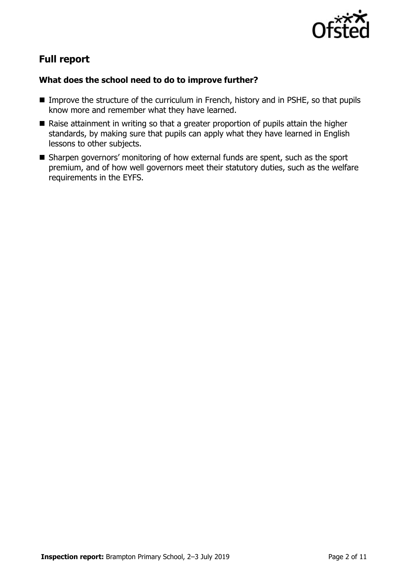

# **Full report**

### **What does the school need to do to improve further?**

- Improve the structure of the curriculum in French, history and in PSHE, so that pupils know more and remember what they have learned.
- Raise attainment in writing so that a greater proportion of pupils attain the higher standards, by making sure that pupils can apply what they have learned in English lessons to other subjects.
- Sharpen governors' monitoring of how external funds are spent, such as the sport premium, and of how well governors meet their statutory duties, such as the welfare requirements in the EYFS.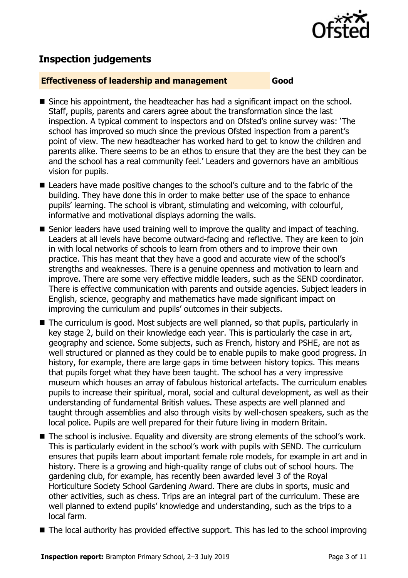

# **Inspection judgements**

#### **Effectiveness of leadership and management Good**

- Since his appointment, the headteacher has had a significant impact on the school. Staff, pupils, parents and carers agree about the transformation since the last inspection. A typical comment to inspectors and on Ofsted's online survey was: 'The school has improved so much since the previous Ofsted inspection from a parent's point of view. The new headteacher has worked hard to get to know the children and parents alike. There seems to be an ethos to ensure that they are the best they can be and the school has a real community feel.' Leaders and governors have an ambitious vision for pupils.
- Leaders have made positive changes to the school's culture and to the fabric of the building. They have done this in order to make better use of the space to enhance pupils' learning. The school is vibrant, stimulating and welcoming, with colourful, informative and motivational displays adorning the walls.
- Senior leaders have used training well to improve the quality and impact of teaching. Leaders at all levels have become outward-facing and reflective. They are keen to join in with local networks of schools to learn from others and to improve their own practice. This has meant that they have a good and accurate view of the school's strengths and weaknesses. There is a genuine openness and motivation to learn and improve. There are some very effective middle leaders, such as the SEND coordinator. There is effective communication with parents and outside agencies. Subject leaders in English, science, geography and mathematics have made significant impact on improving the curriculum and pupils' outcomes in their subjects.
- The curriculum is good. Most subjects are well planned, so that pupils, particularly in key stage 2, build on their knowledge each year. This is particularly the case in art, geography and science. Some subjects, such as French, history and PSHE, are not as well structured or planned as they could be to enable pupils to make good progress. In history, for example, there are large gaps in time between history topics. This means that pupils forget what they have been taught. The school has a very impressive museum which houses an array of fabulous historical artefacts. The curriculum enables pupils to increase their spiritual, moral, social and cultural development, as well as their understanding of fundamental British values. These aspects are well planned and taught through assemblies and also through visits by well-chosen speakers, such as the local police. Pupils are well prepared for their future living in modern Britain.
- The school is inclusive. Equality and diversity are strong elements of the school's work. This is particularly evident in the school's work with pupils with SEND. The curriculum ensures that pupils learn about important female role models, for example in art and in history. There is a growing and high-quality range of clubs out of school hours. The gardening club, for example, has recently been awarded level 3 of the Royal Horticulture Society School Gardening Award. There are clubs in sports, music and other activities, such as chess. Trips are an integral part of the curriculum. These are well planned to extend pupils' knowledge and understanding, such as the trips to a local farm.
- The local authority has provided effective support. This has led to the school improving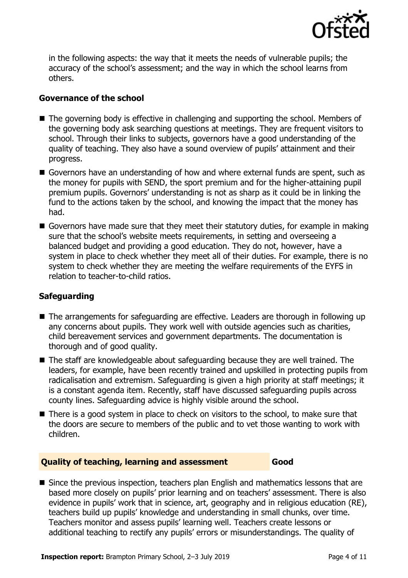

in the following aspects: the way that it meets the needs of vulnerable pupils; the accuracy of the school's assessment; and the way in which the school learns from others.

### **Governance of the school**

- The governing body is effective in challenging and supporting the school. Members of the governing body ask searching questions at meetings. They are frequent visitors to school. Through their links to subjects, governors have a good understanding of the quality of teaching. They also have a sound overview of pupils' attainment and their progress.
- Governors have an understanding of how and where external funds are spent, such as the money for pupils with SEND, the sport premium and for the higher-attaining pupil premium pupils. Governors' understanding is not as sharp as it could be in linking the fund to the actions taken by the school, and knowing the impact that the money has had.
- Governors have made sure that they meet their statutory duties, for example in making sure that the school's website meets requirements, in setting and overseeing a balanced budget and providing a good education. They do not, however, have a system in place to check whether they meet all of their duties. For example, there is no system to check whether they are meeting the welfare requirements of the EYFS in relation to teacher-to-child ratios.

### **Safeguarding**

- The arrangements for safeguarding are effective. Leaders are thorough in following up any concerns about pupils. They work well with outside agencies such as charities, child bereavement services and government departments. The documentation is thorough and of good quality.
- The staff are knowledgeable about safeguarding because they are well trained. The leaders, for example, have been recently trained and upskilled in protecting pupils from radicalisation and extremism. Safeguarding is given a high priority at staff meetings; it is a constant agenda item. Recently, staff have discussed safeguarding pupils across county lines. Safeguarding advice is highly visible around the school.
- There is a good system in place to check on visitors to the school, to make sure that the doors are secure to members of the public and to vet those wanting to work with children.

#### **Quality of teaching, learning and assessment Good**

■ Since the previous inspection, teachers plan English and mathematics lessons that are based more closely on pupils' prior learning and on teachers' assessment. There is also evidence in pupils' work that in science, art, geography and in religious education (RE), teachers build up pupils' knowledge and understanding in small chunks, over time. Teachers monitor and assess pupils' learning well. Teachers create lessons or additional teaching to rectify any pupils' errors or misunderstandings. The quality of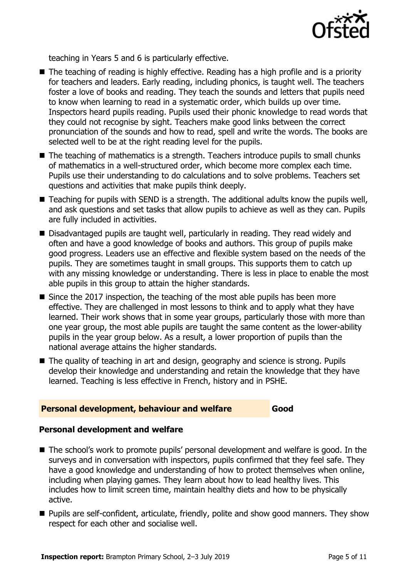

teaching in Years 5 and 6 is particularly effective.

- The teaching of reading is highly effective. Reading has a high profile and is a priority for teachers and leaders. Early reading, including phonics, is taught well. The teachers foster a love of books and reading. They teach the sounds and letters that pupils need to know when learning to read in a systematic order, which builds up over time. Inspectors heard pupils reading. Pupils used their phonic knowledge to read words that they could not recognise by sight. Teachers make good links between the correct pronunciation of the sounds and how to read, spell and write the words. The books are selected well to be at the right reading level for the pupils.
- The teaching of mathematics is a strength. Teachers introduce pupils to small chunks of mathematics in a well-structured order, which become more complex each time. Pupils use their understanding to do calculations and to solve problems. Teachers set questions and activities that make pupils think deeply.
- Teaching for pupils with SEND is a strength. The additional adults know the pupils well, and ask questions and set tasks that allow pupils to achieve as well as they can. Pupils are fully included in activities.
- Disadvantaged pupils are taught well, particularly in reading. They read widely and often and have a good knowledge of books and authors. This group of pupils make good progress. Leaders use an effective and flexible system based on the needs of the pupils. They are sometimes taught in small groups. This supports them to catch up with any missing knowledge or understanding. There is less in place to enable the most able pupils in this group to attain the higher standards.
- Since the 2017 inspection, the teaching of the most able pupils has been more effective. They are challenged in most lessons to think and to apply what they have learned. Their work shows that in some year groups, particularly those with more than one year group, the most able pupils are taught the same content as the lower-ability pupils in the year group below. As a result, a lower proportion of pupils than the national average attains the higher standards.
- The quality of teaching in art and design, geography and science is strong. Pupils develop their knowledge and understanding and retain the knowledge that they have learned. Teaching is less effective in French, history and in PSHE.

#### **Personal development, behaviour and welfare Good**

#### **Personal development and welfare**

- The school's work to promote pupils' personal development and welfare is good. In the surveys and in conversation with inspectors, pupils confirmed that they feel safe. They have a good knowledge and understanding of how to protect themselves when online, including when playing games. They learn about how to lead healthy lives. This includes how to limit screen time, maintain healthy diets and how to be physically active.
- **Pupils are self-confident, articulate, friendly, polite and show good manners. They show** respect for each other and socialise well.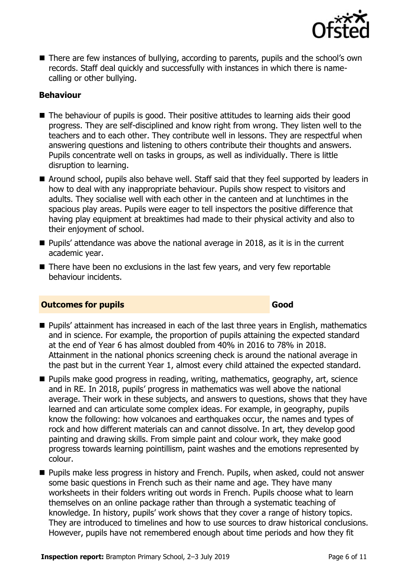

■ There are few instances of bullying, according to parents, pupils and the school's own records. Staff deal quickly and successfully with instances in which there is namecalling or other bullying.

### **Behaviour**

- The behaviour of pupils is good. Their positive attitudes to learning aids their good progress. They are self-disciplined and know right from wrong. They listen well to the teachers and to each other. They contribute well in lessons. They are respectful when answering questions and listening to others contribute their thoughts and answers. Pupils concentrate well on tasks in groups, as well as individually. There is little disruption to learning.
- Around school, pupils also behave well. Staff said that they feel supported by leaders in how to deal with any inappropriate behaviour. Pupils show respect to visitors and adults. They socialise well with each other in the canteen and at lunchtimes in the spacious play areas. Pupils were eager to tell inspectors the positive difference that having play equipment at breaktimes had made to their physical activity and also to their enjoyment of school.
- Pupils' attendance was above the national average in 2018, as it is in the current academic year.
- There have been no exclusions in the last few years, and very few reportable behaviour incidents.

#### **Outcomes for pupils Good Good**

- **Pupils' attainment has increased in each of the last three years in English, mathematics** and in science. For example, the proportion of pupils attaining the expected standard at the end of Year 6 has almost doubled from 40% in 2016 to 78% in 2018. Attainment in the national phonics screening check is around the national average in the past but in the current Year 1, almost every child attained the expected standard.
- **Pupils make good progress in reading, writing, mathematics, geography, art, science** and in RE. In 2018, pupils' progress in mathematics was well above the national average. Their work in these subjects, and answers to questions, shows that they have learned and can articulate some complex ideas. For example, in geography, pupils know the following: how volcanoes and earthquakes occur, the names and types of rock and how different materials can and cannot dissolve. In art, they develop good painting and drawing skills. From simple paint and colour work, they make good progress towards learning pointillism, paint washes and the emotions represented by colour.
- **Pupils make less progress in history and French. Pupils, when asked, could not answer** some basic questions in French such as their name and age. They have many worksheets in their folders writing out words in French. Pupils choose what to learn themselves on an online package rather than through a systematic teaching of knowledge. In history, pupils' work shows that they cover a range of history topics. They are introduced to timelines and how to use sources to draw historical conclusions. However, pupils have not remembered enough about time periods and how they fit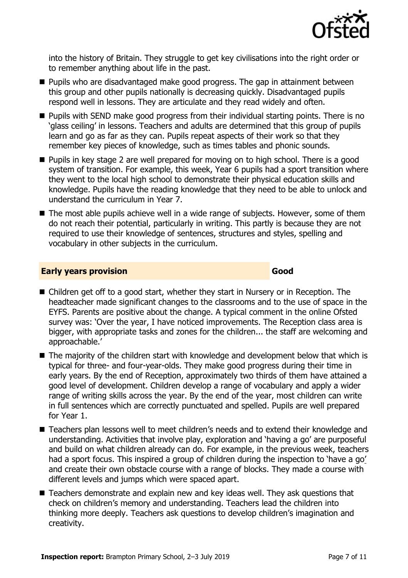

into the history of Britain. They struggle to get key civilisations into the right order or to remember anything about life in the past.

- **Pupils who are disadvantaged make good progress. The gap in attainment between** this group and other pupils nationally is decreasing quickly. Disadvantaged pupils respond well in lessons. They are articulate and they read widely and often.
- **Pupils with SEND make good progress from their individual starting points. There is no** 'glass ceiling' in lessons. Teachers and adults are determined that this group of pupils learn and go as far as they can. Pupils repeat aspects of their work so that they remember key pieces of knowledge, such as times tables and phonic sounds.
- **Pupils in key stage 2 are well prepared for moving on to high school. There is a good** system of transition. For example, this week, Year 6 pupils had a sport transition where they went to the local high school to demonstrate their physical education skills and knowledge. Pupils have the reading knowledge that they need to be able to unlock and understand the curriculum in Year 7.
- The most able pupils achieve well in a wide range of subjects. However, some of them do not reach their potential, particularly in writing. This partly is because they are not required to use their knowledge of sentences, structures and styles, spelling and vocabulary in other subjects in the curriculum.

#### **Early years provision Good Good**

- Children get off to a good start, whether they start in Nursery or in Reception. The headteacher made significant changes to the classrooms and to the use of space in the EYFS. Parents are positive about the change. A typical comment in the online Ofsted survey was: 'Over the year, I have noticed improvements. The Reception class area is bigger, with appropriate tasks and zones for the children... the staff are welcoming and approachable.'
- $\blacksquare$  The majority of the children start with knowledge and development below that which is typical for three- and four-year-olds. They make good progress during their time in early years. By the end of Reception, approximately two thirds of them have attained a good level of development. Children develop a range of vocabulary and apply a wider range of writing skills across the year. By the end of the year, most children can write in full sentences which are correctly punctuated and spelled. Pupils are well prepared for Year 1.
- Teachers plan lessons well to meet children's needs and to extend their knowledge and understanding. Activities that involve play, exploration and 'having a go' are purposeful and build on what children already can do. For example, in the previous week, teachers had a sport focus. This inspired a group of children during the inspection to 'have a go' and create their own obstacle course with a range of blocks. They made a course with different levels and jumps which were spaced apart.
- Teachers demonstrate and explain new and key ideas well. They ask questions that check on children's memory and understanding. Teachers lead the children into thinking more deeply. Teachers ask questions to develop children's imagination and creativity.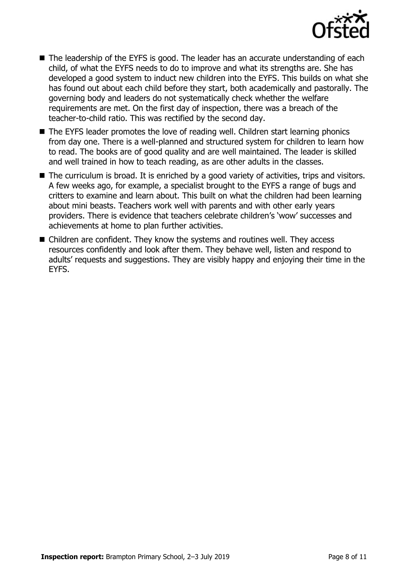

- The leadership of the EYFS is good. The leader has an accurate understanding of each child, of what the EYFS needs to do to improve and what its strengths are. She has developed a good system to induct new children into the EYFS. This builds on what she has found out about each child before they start, both academically and pastorally. The governing body and leaders do not systematically check whether the welfare requirements are met. On the first day of inspection, there was a breach of the teacher-to-child ratio. This was rectified by the second day.
- The EYFS leader promotes the love of reading well. Children start learning phonics from day one. There is a well-planned and structured system for children to learn how to read. The books are of good quality and are well maintained. The leader is skilled and well trained in how to teach reading, as are other adults in the classes.
- The curriculum is broad. It is enriched by a good variety of activities, trips and visitors. A few weeks ago, for example, a specialist brought to the EYFS a range of bugs and critters to examine and learn about. This built on what the children had been learning about mini beasts. Teachers work well with parents and with other early years providers. There is evidence that teachers celebrate children's 'wow' successes and achievements at home to plan further activities.
- Children are confident. They know the systems and routines well. They access resources confidently and look after them. They behave well, listen and respond to adults' requests and suggestions. They are visibly happy and enjoying their time in the EYFS.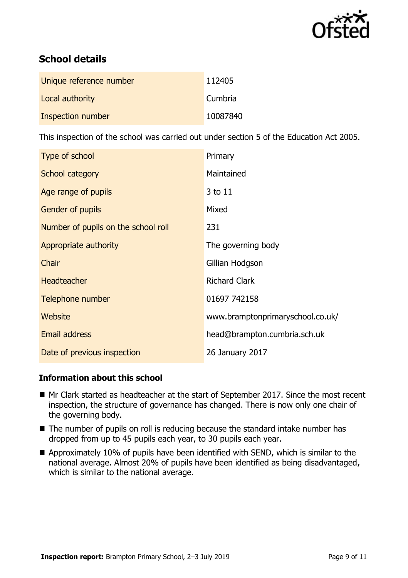

# **School details**

| Unique reference number | 112405   |
|-------------------------|----------|
| Local authority         | Cumbria  |
| Inspection number       | 10087840 |

This inspection of the school was carried out under section 5 of the Education Act 2005.

| Type of school                      | Primary                          |
|-------------------------------------|----------------------------------|
| School category                     | Maintained                       |
| Age range of pupils                 | 3 to 11                          |
| <b>Gender of pupils</b>             | Mixed                            |
| Number of pupils on the school roll | 231                              |
| Appropriate authority               | The governing body               |
| Chair                               | Gillian Hodgson                  |
| <b>Headteacher</b>                  | <b>Richard Clark</b>             |
| Telephone number                    | 01697 742158                     |
| Website                             | www.bramptonprimaryschool.co.uk/ |
| Email address                       | head@brampton.cumbria.sch.uk     |
| Date of previous inspection         | 26 January 2017                  |

#### **Information about this school**

- Mr Clark started as headteacher at the start of September 2017. Since the most recent inspection, the structure of governance has changed. There is now only one chair of the governing body.
- The number of pupils on roll is reducing because the standard intake number has dropped from up to 45 pupils each year, to 30 pupils each year.
- Approximately 10% of pupils have been identified with SEND, which is similar to the national average. Almost 20% of pupils have been identified as being disadvantaged, which is similar to the national average.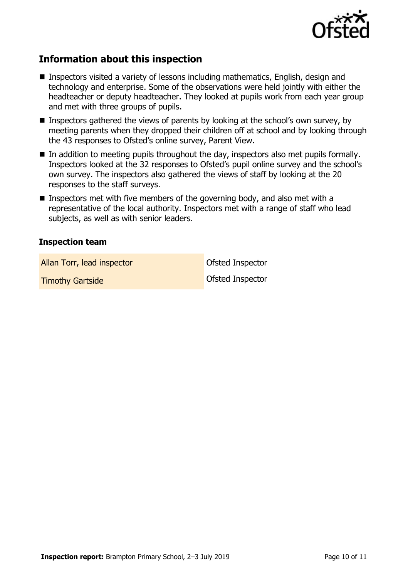

# **Information about this inspection**

- Inspectors visited a variety of lessons including mathematics, English, design and technology and enterprise. Some of the observations were held jointly with either the headteacher or deputy headteacher. They looked at pupils work from each year group and met with three groups of pupils.
- **Inspectors gathered the views of parents by looking at the school's own survey, by** meeting parents when they dropped their children off at school and by looking through the 43 responses to Ofsted's online survey, Parent View.
- In addition to meeting pupils throughout the day, inspectors also met pupils formally. Inspectors looked at the 32 responses to Ofsted's pupil online survey and the school's own survey. The inspectors also gathered the views of staff by looking at the 20 responses to the staff surveys.
- **Inspectors met with five members of the governing body, and also met with a** representative of the local authority. Inspectors met with a range of staff who lead subjects, as well as with senior leaders.

#### **Inspection team**

Allan Torr, lead inspector and offsted Inspector

**Timothy Gartside Construction Construction Construction Construction Construction Construction Construction Construction Construction Construction Construction Construction Construction Construction Construction Construct**